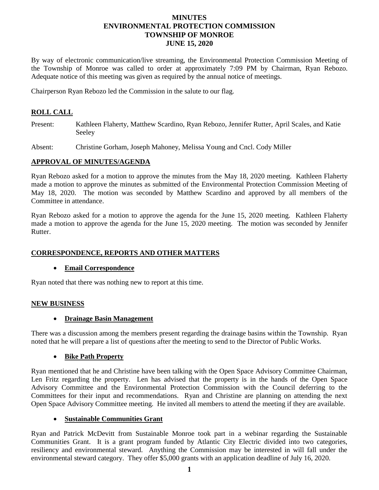# **MINUTES ENVIRONMENTAL PROTECTION COMMISSION TOWNSHIP OF MONROE JUNE 15, 2020**

By way of electronic communication/live streaming, the Environmental Protection Commission Meeting of the Township of Monroe was called to order at approximately 7:09 PM by Chairman, Ryan Rebozo. Adequate notice of this meeting was given as required by the annual notice of meetings.

Chairperson Ryan Rebozo led the Commission in the salute to our flag.

# **ROLL CALL**

Present: Kathleen Flaherty, Matthew Scardino, Ryan Rebozo, Jennifer Rutter, April Scales, and Katie Seeley

Absent: Christine Gorham, Joseph Mahoney, Melissa Young and Cncl. Cody Miller

### **APPROVAL OF MINUTES/AGENDA**

Ryan Rebozo asked for a motion to approve the minutes from the May 18, 2020 meeting. Kathleen Flaherty made a motion to approve the minutes as submitted of the Environmental Protection Commission Meeting of May 18, 2020. The motion was seconded by Matthew Scardino and approved by all members of the Committee in attendance.

Ryan Rebozo asked for a motion to approve the agenda for the June 15, 2020 meeting. Kathleen Flaherty made a motion to approve the agenda for the June 15, 2020 meeting. The motion was seconded by Jennifer Rutter.

## **CORRESPONDENCE, REPORTS AND OTHER MATTERS**

#### **Email Correspondence**

Ryan noted that there was nothing new to report at this time.

## **NEW BUSINESS**

#### **Drainage Basin Management**

There was a discussion among the members present regarding the drainage basins within the Township. Ryan noted that he will prepare a list of questions after the meeting to send to the Director of Public Works.

## **Bike Path Property**

Ryan mentioned that he and Christine have been talking with the Open Space Advisory Committee Chairman, Len Fritz regarding the property. Len has advised that the property is in the hands of the Open Space Advisory Committee and the Environmental Protection Commission with the Council deferring to the Committees for their input and recommendations. Ryan and Christine are planning on attending the next Open Space Advisory Committee meeting. He invited all members to attend the meeting if they are available.

#### **Sustainable Communities Grant**

Ryan and Patrick McDevitt from Sustainable Monroe took part in a webinar regarding the Sustainable Communities Grant. It is a grant program funded by Atlantic City Electric divided into two categories, resiliency and environmental steward. Anything the Commission may be interested in will fall under the environmental steward category. They offer \$5,000 grants with an application deadline of July 16, 2020.